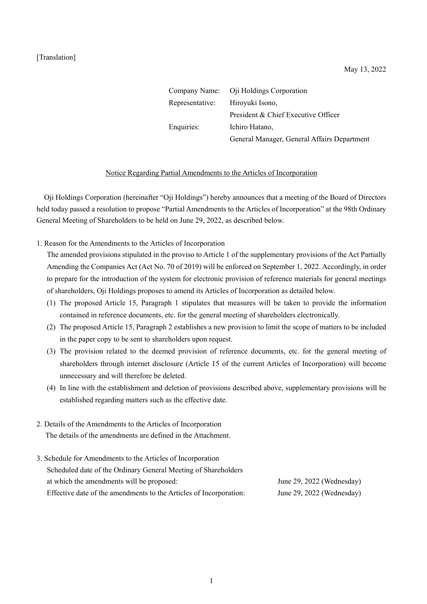|                 | Company Name: Oji Holdings Corporation      |
|-----------------|---------------------------------------------|
| Representative: | Hiroyuki Isono,                             |
|                 | President & Chief Executive Officer         |
| Enquiries:      | Ichiro Hatano,                              |
|                 | General Manager, General Affairs Department |

## Notice Regarding Partial Amendments to the Articles of Incorporation

Oji Holdings Corporation (hereinafter "Oji Holdings") hereby announces that a meeting of the Board of Directors held today passed a resolution to propose "Partial Amendments to the Articles of Incorporation" at the 98th Ordinary General Meeting of Shareholders to be held on June 29, 2022, as described below.

1. Reason for the Amendments to the Articles of Incorporation

The amended provisions stipulated in the proviso to Article 1 of the supplementary provisions of the Act Partially Amending the Companies Act (Act No. 70 of 2019) will be enforced on September 1, 2022. Accordingly, in order to prepare for the introduction of the system for electronic provision of reference materials for general meetings of shareholders, Oji Holdings proposes to amend its Articles of Incorporation as detailed below.

- (1) The proposed Article 15, Paragraph 1 stipulates that measures will be taken to provide the information contained in reference documents, etc. for the general meeting of shareholders electronically.
- (2) The proposed Article 15, Paragraph 2 establishes a new provision to limit the scope of matters to be included in the paper copy to be sent to shareholders upon request.
- (3) The provision related to the deemed provision of reference documents, etc. for the general meeting of shareholders through internet disclosure (Article 15 of the current Articles of Incorporation) will become unnecessary and will therefore be deleted.
- (4) In line with the establishment and deletion of provisions described above, supplementary provisions will be established regarding matters such as the effective date.
- 2. Details of the Amendments to the Articles of Incorporation The details of the amendments are defined in the Attachment.
- 3. Schedule for Amendments to the Articles of Incorporation Scheduled date of the Ordinary General Meeting of Shareholders at which the amendments will be proposed: June 29, 2022 (Wednesday) Effective date of the amendments to the Articles of Incorporation: June 29, 2022 (Wednesday)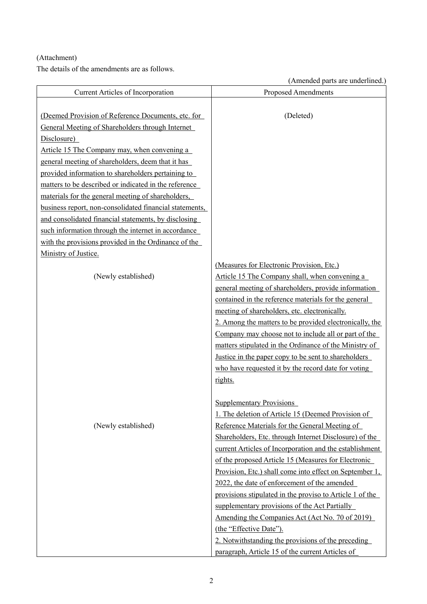## (Attachment)

The details of the amendments are as follows.

(Amended parts are underlined.)

|                                                                                                        | $\mu$ interacte parts are and errorities.                                                               |
|--------------------------------------------------------------------------------------------------------|---------------------------------------------------------------------------------------------------------|
| Current Articles of Incorporation                                                                      | <b>Proposed Amendments</b>                                                                              |
| (Deemed Provision of Reference Documents, etc. for<br>General Meeting of Shareholders through Internet | (Deleted)                                                                                               |
| Disclosure)                                                                                            |                                                                                                         |
| Article 15 The Company may, when convening a                                                           |                                                                                                         |
| general meeting of shareholders, deem that it has                                                      |                                                                                                         |
| provided information to shareholders pertaining to                                                     |                                                                                                         |
| matters to be described or indicated in the reference                                                  |                                                                                                         |
| materials for the general meeting of shareholders,                                                     |                                                                                                         |
| business report, non-consolidated financial statements,                                                |                                                                                                         |
| and consolidated financial statements, by disclosing                                                   |                                                                                                         |
| such information through the internet in accordance                                                    |                                                                                                         |
| with the provisions provided in the Ordinance of the                                                   |                                                                                                         |
| Ministry of Justice.                                                                                   |                                                                                                         |
|                                                                                                        | (Measures for Electronic Provision, Etc.)                                                               |
| (Newly established)                                                                                    | Article 15 The Company shall, when convening a                                                          |
|                                                                                                        | general meeting of shareholders, provide information                                                    |
|                                                                                                        | contained in the reference materials for the general                                                    |
|                                                                                                        | meeting of shareholders, etc. electronically.                                                           |
|                                                                                                        | 2. Among the matters to be provided electronically, the                                                 |
|                                                                                                        | Company may choose not to include all or part of the                                                    |
|                                                                                                        | matters stipulated in the Ordinance of the Ministry of                                                  |
|                                                                                                        | Justice in the paper copy to be sent to shareholders                                                    |
|                                                                                                        | who have requested it by the record date for voting                                                     |
|                                                                                                        | rights.                                                                                                 |
|                                                                                                        |                                                                                                         |
|                                                                                                        | <b>Supplementary Provisions</b>                                                                         |
|                                                                                                        | 1. The deletion of Article 15 (Deemed Provision of                                                      |
| (Newly established)                                                                                    | Reference Materials for the General Meeting of                                                          |
|                                                                                                        | Shareholders, Etc. through Internet Disclosure) of the                                                  |
|                                                                                                        | current Articles of Incorporation and the establishment                                                 |
|                                                                                                        | of the proposed Article 15 (Measures for Electronic                                                     |
|                                                                                                        | Provision, Etc.) shall come into effect on September 1,<br>2022, the date of enforcement of the amended |
|                                                                                                        |                                                                                                         |
|                                                                                                        | provisions stipulated in the proviso to Article 1 of the                                                |
|                                                                                                        | supplementary provisions of the Act Partially<br><u>Amending the Companies Act (Act No. 70 of 2019)</u> |
|                                                                                                        | (the "Effective Date").                                                                                 |
|                                                                                                        | 2. Notwithstanding the provisions of the preceding                                                      |
|                                                                                                        | paragraph, Article 15 of the current Articles of                                                        |
|                                                                                                        |                                                                                                         |